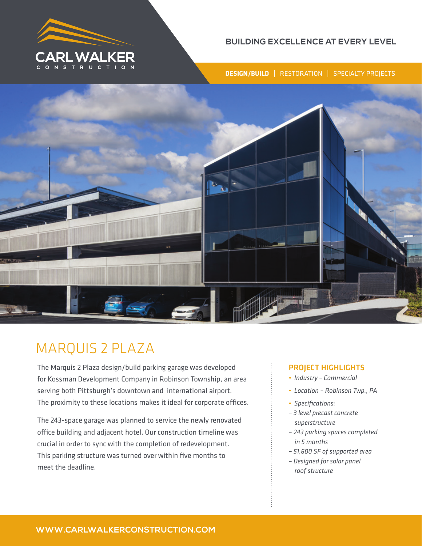

## **BUILDING EXCELLENCE AT EVERY LEVEL**

**DESIGN/BUILD** | RESTORATION | SPECIALTY PROJECTS



# MARQUIS 2 PLAZA

The Marquis 2 Plaza design/build parking garage was developed for Kossman Development Company in Robinson Township, an area serving both Pittsburgh's downtown and international airport. The proximity to these locations makes it ideal for corporate offices.

The 243-space garage was planned to service the newly renovated office building and adjacent hotel. Our construction timeline was crucial in order to sync with the completion of redevelopment. This parking structure was turned over within five months to meet the deadline.

## PROJECT HIGHLIGHTS

- *Industry Commercial*
- *Location Robinson Twp., PA*
- *Specifications:*
- *3 level precast concrete superstructure*
- *243 parking spaces completed in 5 months*
- *51,600 SF of supported area*
- *Designed for solar panel roof structure*